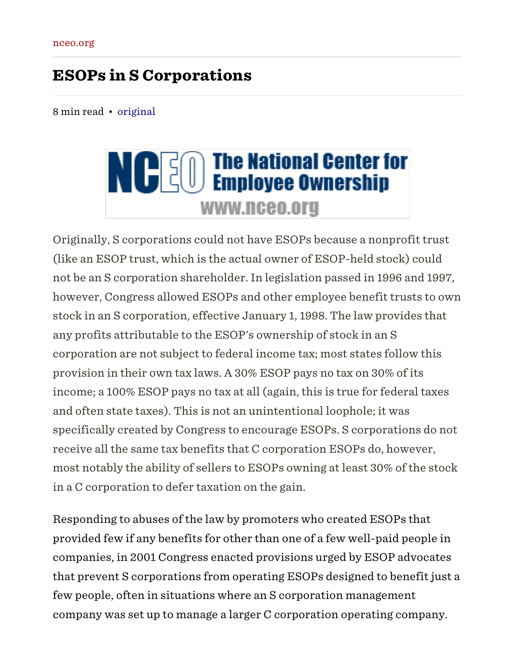# ESOPs in S Corporations

8 min read • [original](https://www.nceo.org/articles/esops-s-corporations/printable)

# **NOGO** The National Center for **WWW.nceo.org**

Originally, S corporations could not have ESOPs because a nonprofit trust (like an ESOP trust, which is the actual owner of ESOP-held stock) could not be an S corporation shareholder. In legislation passed in 1996 and 1997, however, Congress allowed ESOPs and other employee benefit trusts to own stock in an S corporation, effective January 1, 1998. The law provides that any profits attributable to the ESOP's ownership of stock in an S corporation are not subject to federal income tax; most states follow this provision in their own tax laws. A 30% ESOP pays no tax on 30% of its income; a 100% ESOP pays no tax at all (again, this is true for federal taxes and often state taxes). This is not an unintentional loophole; it was specifically created by Congress to encourage ESOPs. S corporations do not receive all the same tax benefits that C corporation ESOPs do, however, most notably the ability of sellers to ESOPs owning at least 30% of the stock in a C corporation to defer taxation on the gain.

Responding to abuses of the law by promoters who created ESOPs that provided few if any benefits for other than one of a few well-paid people in companies, in 2001 Congress enacted provisions urged by ESOP advocates that prevent S corporations from operating ESOPs designed to benefit just a few people, often in situations where an S corporation management company was set up to manage a larger C corporation operating company.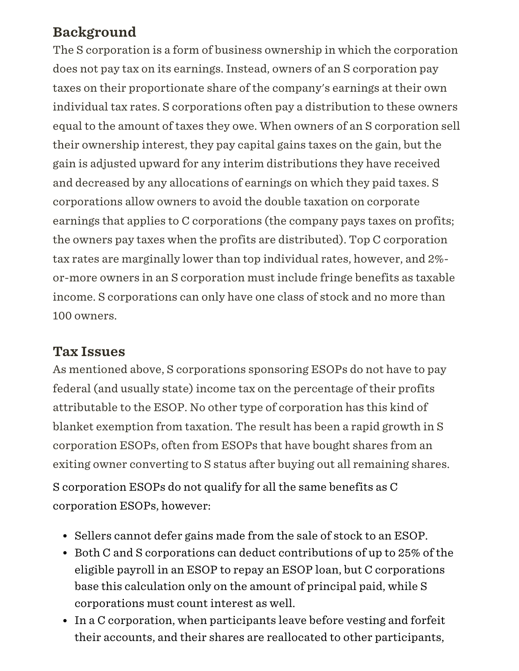# Background

The S corporation is a form of business ownership in which the corporation does not pay tax on its earnings. Instead, owners of an S corporation pay taxes on their proportionate share of the company's earnings at their own individual tax rates. S corporations often pay a distribution to these owners equal to the amount of taxes they owe. When owners of an S corporation sell their ownership interest, they pay capital gains taxes on the gain, but the gain is adjusted upward for any interim distributions they have received and decreased by any allocations of earnings on which they paid taxes. S corporations allow owners to avoid the double taxation on corporate earnings that applies to C corporations (the company pays taxes on profits; the owners pay taxes when the profits are distributed). Top C corporation tax rates are marginally lower than top individual rates, however, and 2% or-more owners in an S corporation must include fringe benefits as taxable income. S corporations can only have one class of stock and no more than 100 owners.

### Tax Issues

As mentioned above, S corporations sponsoring ESOPs do not have to pay federal (and usually state) income tax on the percentage of their profits attributable to the ESOP. No other type of corporation has this kind of blanket exemption from taxation. The result has been a rapid growth in S corporation ESOPs, often from ESOPs that have bought shares from an exiting owner converting to S status after buying out all remaining shares. S corporation ESOPs do not qualify for all the same benefits as C corporation ESOPs, however:

- Sellers cannot defer gains made from the sale of stock to an ESOP.
- Both C and S corporations can deduct contributions of up to 25% of the eligible payroll in an ESOP to repay an ESOP loan, but C corporations base this calculation only on the amount of principal paid, while S corporations must count interest as well.
- In a C corporation, when participants leave before vesting and forfeit their accounts, and their shares are reallocated to other participants,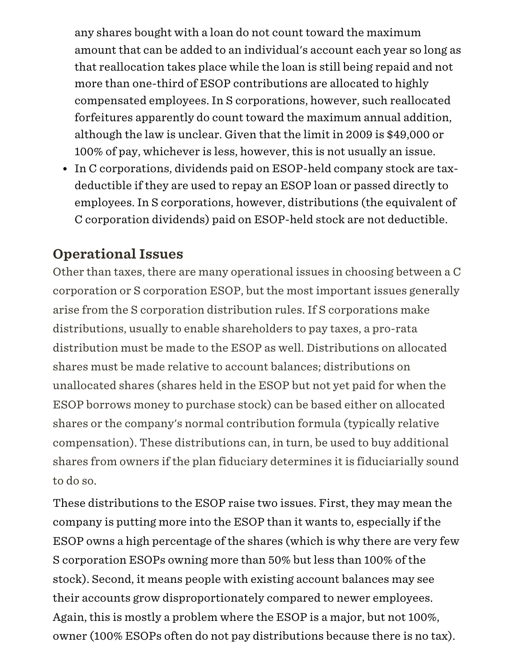any shares bought with a loan do not count toward the maximum amount that can be added to an individual's account each year so long as that reallocation takes place while the loan is still being repaid and not more than one-third of ESOP contributions are allocated to highly compensated employees. In S corporations, however, such reallocated forfeitures apparently do count toward the maximum annual addition, although the law is unclear. Given that the limit in 2009 is \$49,000 or 100% of pay, whichever is less, however, this is not usually an issue.

In C corporations, dividends paid on ESOP-held company stock are taxdeductible if they are used to repay an ESOP loan or passed directly to employees. In S corporations, however, distributions (the equivalent of C corporation dividends) paid on ESOP-held stock are not deductible.

# Operational Issues

Other than taxes, there are many operational issues in choosing between a C corporation or S corporation ESOP, but the most important issues generally arise from the S corporation distribution rules. If S corporations make distributions, usually to enable shareholders to pay taxes, a pro-rata distribution must be made to the ESOP as well. Distributions on allocated shares must be made relative to account balances; distributions on unallocated shares (shares held in the ESOP but not yet paid for when the ESOP borrows money to purchase stock) can be based either on allocated shares or the company's normal contribution formula (typically relative compensation). These distributions can, in turn, be used to buy additional shares from owners if the plan fiduciary determines it is fiduciarially sound to do so.

These distributions to the ESOP raise two issues. First, they may mean the company is putting more into the ESOP than it wants to, especially if the ESOP owns a high percentage of the shares (which is why there are very few S corporation ESOPs owning more than 50% but less than 100% of the stock). Second, it means people with existing account balances may see their accounts grow disproportionately compared to newer employees. Again, this is mostly a problem where the ESOP is a major, but not 100%, owner (100% ESOPs often do not pay distributions because there is no tax).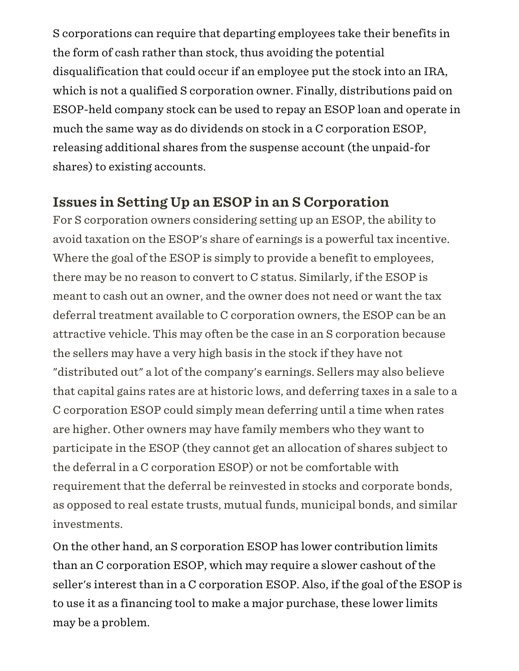S corporations can require that departing employees take their benefits in the form of cash rather than stock, thus avoiding the potential disqualification that could occur if an employee put the stock into an IRA, which is not a qualified S corporation owner. Finally, distributions paid on ESOP-held company stock can be used to repay an ESOP loan and operate in much the same way as do dividends on stock in a C corporation ESOP, releasing additional shares from the suspense account (the unpaid-for shares) to existing accounts.

### Issues in Setting Up an ESOP in an S Corporation

For S corporation owners considering setting up an ESOP, the ability to avoid taxation on the ESOP's share of earnings is a powerful tax incentive. Where the goal of the ESOP is simply to provide a benefit to employees, there may be no reason to convert to C status. Similarly, if the ESOP is meant to cash out an owner, and the owner does not need or want the tax deferral treatment available to C corporation owners, the ESOP can be an attractive vehicle. This may often be the case in an S corporation because the sellers may have a very high basis in the stock if they have not "distributed out" a lot of the company's earnings. Sellers may also believe that capital gains rates are at historic lows, and deferring taxes in a sale to a C corporation ESOP could simply mean deferring until a time when rates are higher. Other owners may have family members who they want to participate in the ESOP (they cannot get an allocation of shares subject to the deferral in a C corporation ESOP) or not be comfortable with requirement that the deferral be reinvested in stocks and corporate bonds, as opposed to real estate trusts, mutual funds, municipal bonds, and similar investments.

On the other hand, an S corporation ESOP has lower contribution limits than an C corporation ESOP, which may require a slower cashout of the seller's interest than in a C corporation ESOP. Also, if the goal of the ESOP is to use it as a financing tool to make a major purchase, these lower limits may be a problem.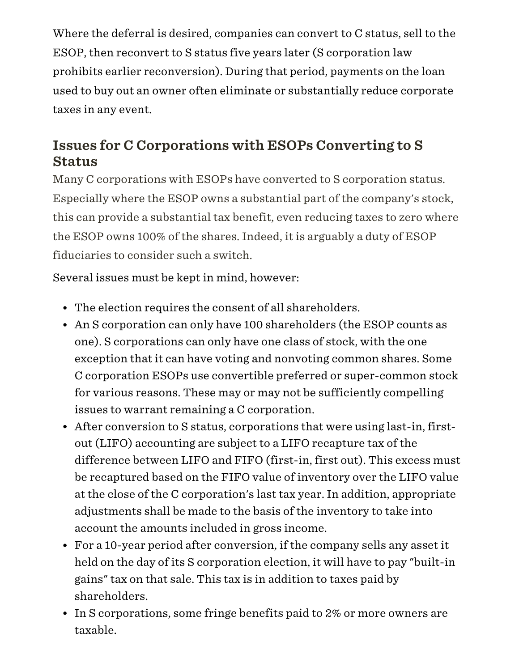Where the deferral is desired, companies can convert to C status, sell to the ESOP, then reconvert to S status five years later (S corporation law prohibits earlier reconversion). During that period, payments on the loan used to buy out an owner often eliminate or substantially reduce corporate taxes in any event.

# Issues for C Corporations with ESOPs Converting to S **Status**

Many C corporations with ESOPs have converted to S corporation status. Especially where the ESOP owns a substantial part of the company's stock, this can provide a substantial tax benefit, even reducing taxes to zero where the ESOP owns 100% of the shares. Indeed, it is arguably a duty of ESOP fiduciaries to consider such a switch.

Several issues must be kept in mind, however:

- The election requires the consent of all shareholders.
- An S corporation can only have 100 shareholders (the ESOP counts as one). S corporations can only have one class of stock, with the one exception that it can have voting and nonvoting common shares. Some C corporation ESOPs use convertible preferred or super-common stock for various reasons. These may or may not be sufficiently compelling issues to warrant remaining a C corporation.
- After conversion to S status, corporations that were using last-in, firstout (LIFO) accounting are subject to a LIFO recapture tax of the difference between LIFO and FIFO (first-in, first out). This excess must be recaptured based on the FIFO value of inventory over the LIFO value at the close of the C corporation's last tax year. In addition, appropriate adjustments shall be made to the basis of the inventory to take into account the amounts included in gross income.
- For a 10-year period after conversion, if the company sells any asset it held on the day of its S corporation election, it will have to pay "built-in gains" tax on that sale. This tax is in addition to taxes paid by shareholders.
- In S corporations, some fringe benefits paid to 2% or more owners are taxable.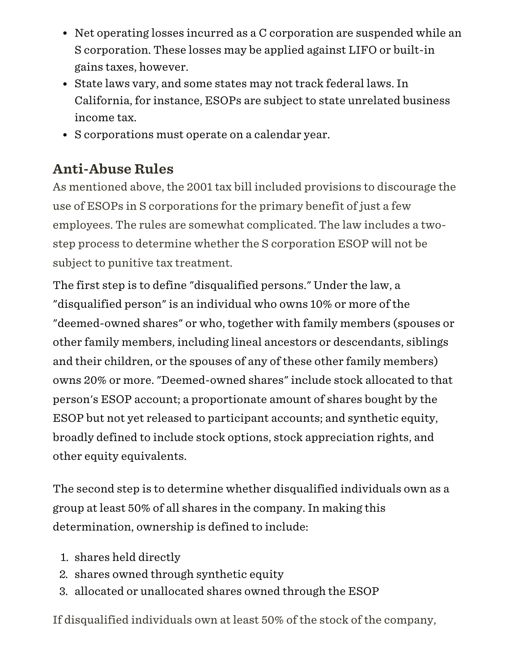- Net operating losses incurred as a C corporation are suspended while an S corporation. These losses may be applied against LIFO or built-in gains taxes, however.
- State laws vary, and some states may not track federal laws. In California, for instance, ESOPs are subject to state unrelated business income tax.
- S corporations must operate on a calendar year.

# Anti-Abuse Rules

As mentioned above, the 2001 tax bill included provisions to discourage the use of ESOPs in S corporations for the primary benefit of just a few employees. The rules are somewhat complicated. The law includes a twostep process to determine whether the S corporation ESOP will not be subject to punitive tax treatment.

The first step is to define "disqualified persons." Under the law, a "disqualified person" is an individual who owns 10% or more of the "deemed-owned shares" or who, together with family members (spouses or other family members, including lineal ancestors or descendants, siblings and their children, or the spouses of any of these other family members) owns 20% or more. "Deemed-owned shares" include stock allocated to that person's ESOP account; a proportionate amount of shares bought by the ESOP but not yet released to participant accounts; and synthetic equity, broadly defined to include stock options, stock appreciation rights, and other equity equivalents.

The second step is to determine whether disqualified individuals own as a group at least 50% of all shares in the company. In making this determination, ownership is defined to include:

- 1. shares held directly
- 2. shares owned through synthetic equity
- 3. allocated or unallocated shares owned through the ESOP

If disqualified individuals own at least 50% of the stock of the company,